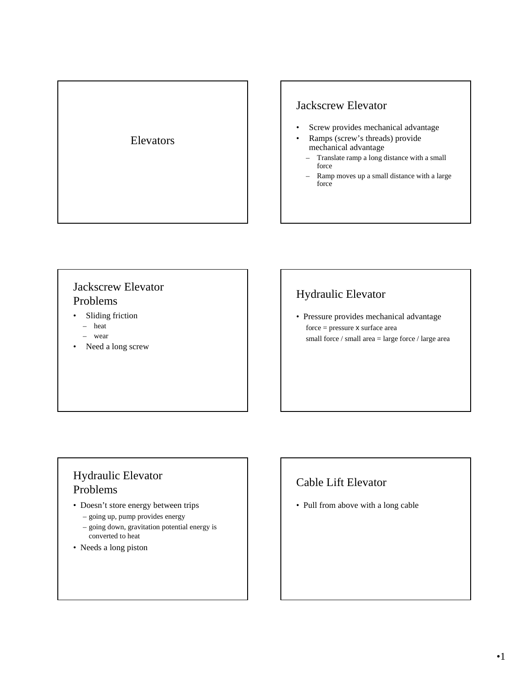

### Jackscrew Elevator

- Screw provides mechanical advantage
- Ramps (screw's threads) provide mechanical advantage
- Translate ramp a long distance with a small force
- Ramp moves up a small distance with a large force

## Jackscrew Elevator Problems

- Sliding friction
	- heat
	- wear
- Need a long screw

# Hydraulic Elevator

• Pressure provides mechanical advantage force = pressure x surface area small force / small area = large force / large area

### Hydraulic Elevator Problems

- Doesn't store energy between trips
	- going up, pump provides energy
	- going down, gravitation potential energy is converted to heat
- Needs a long piston

# Cable Lift Elevator

• Pull from above with a long cable